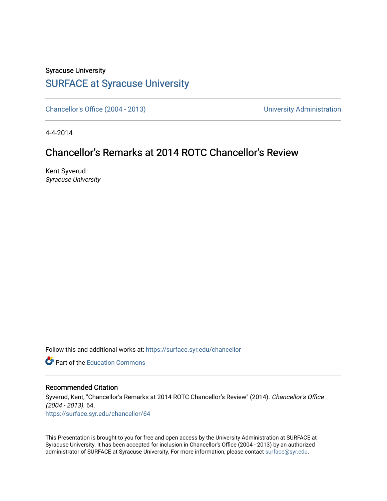## Syracuse University [SURFACE at Syracuse University](https://surface.syr.edu/)

[Chancellor's Office \(2004 - 2013\)](https://surface.syr.edu/chancellor) Chancellor's Office (2004 - 2013)

4-4-2014

## Chancellor's Remarks at 2014 ROTC Chancellor's Review

Kent Syverud Syracuse University

Follow this and additional works at: [https://surface.syr.edu/chancellor](https://surface.syr.edu/chancellor?utm_source=surface.syr.edu%2Fchancellor%2F64&utm_medium=PDF&utm_campaign=PDFCoverPages) 

**C** Part of the [Education Commons](http://network.bepress.com/hgg/discipline/784?utm_source=surface.syr.edu%2Fchancellor%2F64&utm_medium=PDF&utm_campaign=PDFCoverPages)

## Recommended Citation

Syverud, Kent, "Chancellor's Remarks at 2014 ROTC Chancellor's Review" (2014). Chancellor's Office (2004 - 2013). 64. [https://surface.syr.edu/chancellor/64](https://surface.syr.edu/chancellor/64?utm_source=surface.syr.edu%2Fchancellor%2F64&utm_medium=PDF&utm_campaign=PDFCoverPages) 

This Presentation is brought to you for free and open access by the University Administration at SURFACE at Syracuse University. It has been accepted for inclusion in Chancellor's Office (2004 - 2013) by an authorized administrator of SURFACE at Syracuse University. For more information, please contact [surface@syr.edu.](mailto:surface@syr.edu)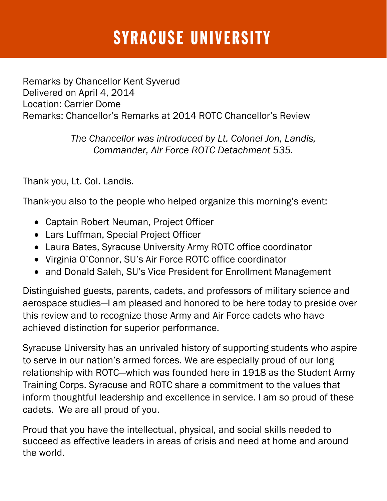## **SYRACUSE UNIVERSITY**

Remarks by Chancellor Kent Syverud Delivered on April 4, 2014 Location: Carrier Dome Remarks: Chancellor's Remarks at 2014 ROTC Chancellor's Review

> *The Chancellor was introduced by Lt. Colonel Jon, Landis, Commander, Air Force ROTC Detachment 535.*

Thank you, Lt. Col. Landis.

Thank-you also to the people who helped organize this morning's event:

- Captain Robert Neuman, Project Officer
- Lars Luffman, Special Project Officer
- Laura Bates, Syracuse University Army ROTC office coordinator
- Virginia O'Connor, SU's Air Force ROTC office coordinator
- and Donald Saleh, SU's Vice President for Enrollment Management

Distinguished guests, parents, cadets, and professors of military science and aerospace studies—I am pleased and honored to be here today to preside over this review and to recognize those Army and Air Force cadets who have achieved distinction for superior performance.

Syracuse University has an unrivaled history of supporting students who aspire to serve in our nation's armed forces. We are especially proud of our long relationship with ROTC—which was founded here in 1918 as the Student Army Training Corps. Syracuse and ROTC share a commitment to the values that inform thoughtful leadership and excellence in service. I am so proud of these cadets. We are all proud of you.

Proud that you have the intellectual, physical, and social skills needed to succeed as effective leaders in areas of crisis and need at home and around the world.